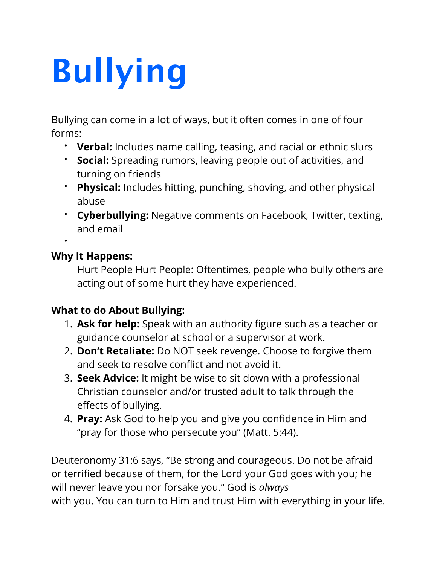## **Bullying**

Bullying can come in a lot of ways, but it often comes in one of four forms:

- **Verbal:** Includes name calling, teasing, and racial or ethnic slurs
- **Social:** Spreading rumors, leaving people out of activities, and turning on friends
- **Physical:** Includes hitting, punching, shoving, and other physical abuse
- **Cyberbullying:** Negative comments on Facebook, Twitter, texting, and email

•

## **Why It Happens:**

Hurt People Hurt People: Oftentimes, people who bully others are acting out of some hurt they have experienced.

## **What to do About Bullying:**

- 1. **Ask for help:** Speak with an authority figure such as a teacher or guidance counselor at school or a supervisor at work.
- 2. **Don't Retaliate:** Do NOT seek revenge. Choose to forgive them and seek to resolve conflict and not avoid it.
- 3. **Seek Advice:** It might be wise to sit down with a professional Christian counselor and/or trusted adult to talk through the effects of bullying.
- 4. **Pray:** Ask God to help you and give you confidence in Him and "pray for those who persecute you" (Matt. 5:44).

Deuteronomy 31:6 says, "Be strong and courageous. Do not be afraid or terrified because of them, for the Lord your God goes with you; he will never leave you nor forsake you." God is *always* with you. You can turn to Him and trust Him with everything in your life.